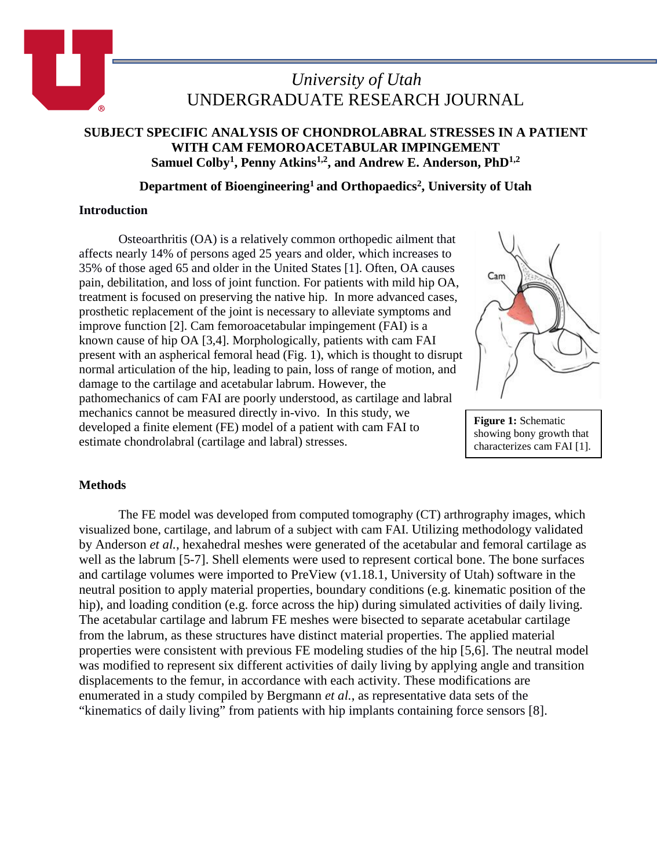

# *University of Utah* UNDERGRADUATE RESEARCH JOURNAL

## **SUBJECT SPECIFIC ANALYSIS OF CHONDROLABRAL STRESSES IN A PATIENT WITH CAM FEMOROACETABULAR IMPINGEMENT Samuel Colby1, Penny Atkins1,2, and Andrew E. Anderson, PhD1,2**

## **Department of Bioengineering1 and Orthopaedics2, University of Utah**

### **Introduction**

Osteoarthritis (OA) is a relatively common orthopedic ailment that affects nearly 14% of persons aged 25 years and older, which increases to 35% of those aged 65 and older in the United States [1]. Often, OA causes pain, debilitation, and loss of joint function. For patients with mild hip OA, treatment is focused on preserving the native hip. In more advanced cases, prosthetic replacement of the joint is necessary to alleviate symptoms and improve function [2]. Cam femoroacetabular impingement (FAI) is a known cause of hip OA [3,4]. Morphologically, patients with cam FAI present with an aspherical femoral head (Fig. 1), which is thought to disrupt normal articulation of the hip, leading to pain, loss of range of motion, and damage to the cartilage and acetabular labrum. However, the pathomechanics of cam FAI are poorly understood, as cartilage and labral mechanics cannot be measured directly in-vivo. In this study, we developed a finite element (FE) model of a patient with cam FAI to estimate chondrolabral (cartilage and labral) stresses.



**Figure 1:** Schematic showing bony growth that characterizes cam FAI [1].

## **Methods**

The FE model was developed from computed tomography (CT) arthrography images, which visualized bone, cartilage, and labrum of a subject with cam FAI. Utilizing methodology validated by Anderson *et al.*, hexahedral meshes were generated of the acetabular and femoral cartilage as well as the labrum [5-7]. Shell elements were used to represent cortical bone. The bone surfaces and cartilage volumes were imported to PreView (v1.18.1, University of Utah) software in the neutral position to apply material properties, boundary conditions (e.g. kinematic position of the hip), and loading condition (e.g. force across the hip) during simulated activities of daily living. The acetabular cartilage and labrum FE meshes were bisected to separate acetabular cartilage from the labrum, as these structures have distinct material properties. The applied material properties were consistent with previous FE modeling studies of the hip [5,6]. The neutral model was modified to represent six different activities of daily living by applying angle and transition displacements to the femur, in accordance with each activity. These modifications are enumerated in a study compiled by Bergmann *et al.*, as representative data sets of the "kinematics of daily living" from patients with hip implants containing force sensors [8].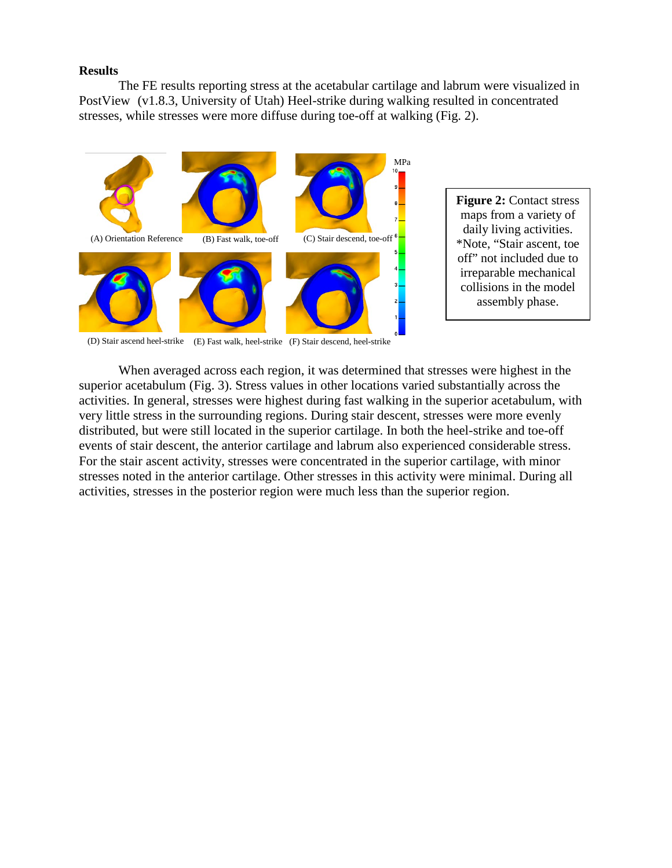#### **Results**

The FE results reporting stress at the acetabular cartilage and labrum were visualized in PostView (v1.8.3, University of Utah) Heel-strike during walking resulted in concentrated stresses, while stresses were more diffuse during toe-off at walking (Fig. 2).



**Figure 2:** Contact stress maps from a variety of daily living activities. \*Note, "Stair ascent, toe off" not included due to irreparable mechanical collisions in the model assembly phase.

(D) Stair ascend heel-strike (E) Fast walk, heel-strike (F) Stair descend, heel-strike

When averaged across each region, it was determined that stresses were highest in the superior acetabulum (Fig. 3). Stress values in other locations varied substantially across the activities. In general, stresses were highest during fast walking in the superior acetabulum, with very little stress in the surrounding regions. During stair descent, stresses were more evenly distributed, but were still located in the superior cartilage. In both the heel-strike and toe-off events of stair descent, the anterior cartilage and labrum also experienced considerable stress. For the stair ascent activity, stresses were concentrated in the superior cartilage, with minor stresses noted in the anterior cartilage. Other stresses in this activity were minimal. During all activities, stresses in the posterior region were much less than the superior region.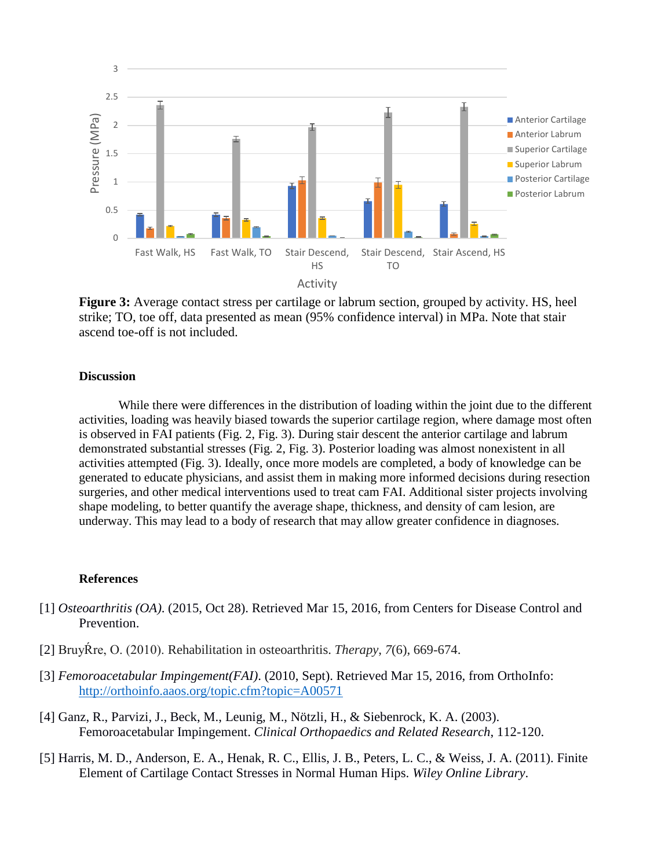

**Figure 3:** Average contact stress per cartilage or labrum section, grouped by activity. HS, heel strike; TO, toe off, data presented as mean (95% confidence interval) in MPa. Note that stair ascend toe-off is not included.

#### **Discussion**

While there were differences in the distribution of loading within the joint due to the different activities, loading was heavily biased towards the superior cartilage region, where damage most often is observed in FAI patients (Fig. 2, Fig. 3). During stair descent the anterior cartilage and labrum demonstrated substantial stresses (Fig. 2, Fig. 3). Posterior loading was almost nonexistent in all activities attempted (Fig. 3). Ideally, once more models are completed, a body of knowledge can be generated to educate physicians, and assist them in making more informed decisions during resection surgeries, and other medical interventions used to treat cam FAI. Additional sister projects involving shape modeling, to better quantify the average shape, thickness, and density of cam lesion, are underway. This may lead to a body of research that may allow greater confidence in diagnoses.

#### **References**

- [1] *Osteoarthritis (OA)*. (2015, Oct 28). Retrieved Mar 15, 2016, from Centers for Disease Control and Prevention.
- [2] BruyŔre, O. (2010). Rehabilitation in osteoarthritis. *Therapy*, *7*(6), 669-674.
- [3] *Femoroacetabular Impingement(FAI)*. (2010, Sept). Retrieved Mar 15, 2016, from OrthoInfo: <http://orthoinfo.aaos.org/topic.cfm?topic=A00571>
- [4] Ganz, R., Parvizi, J., Beck, M., Leunig, M., Nötzli, H., & Siebenrock, K. A. (2003). Femoroacetabular Impingement. *Clinical Orthopaedics and Related Research*, 112-120.
- [5] Harris, M. D., Anderson, E. A., Henak, R. C., Ellis, J. B., Peters, L. C., & Weiss, J. A. (2011). Finite Element of Cartilage Contact Stresses in Normal Human Hips. *Wiley Online Library*.